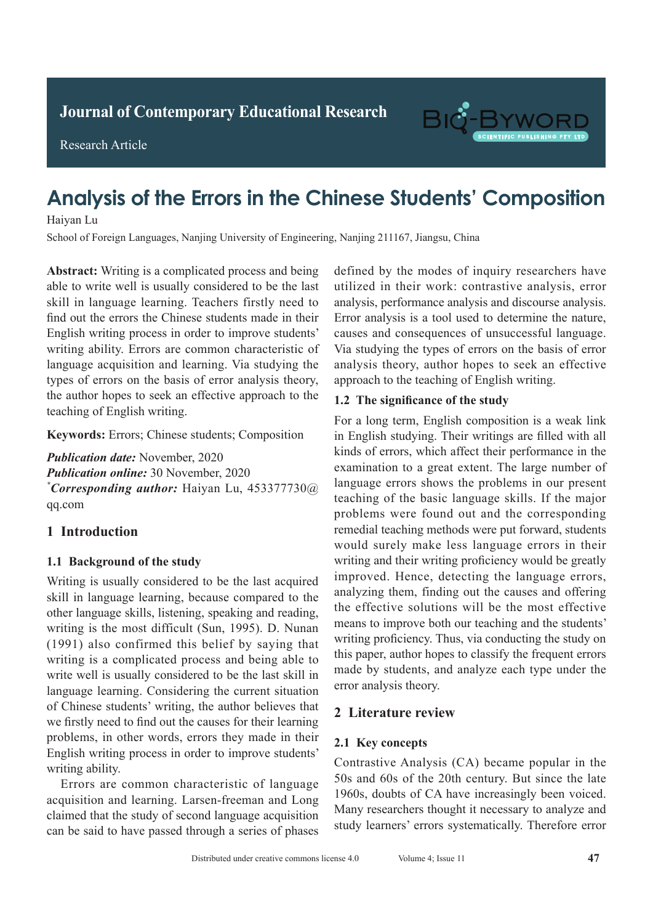**Journal of Clinical and Nursing Research Journal of Contemporary Educational Research**

Research Article



# **Analysis of the Errors in the Chinese Students' Composition Diagonal Chest Engine Chest Engine Chest Engine Chest Engine Chest Engine Chest Engine Chest Engine Chest Engine Chest Engine Chest Engine Chest Engine Chest Engine Chest Engine Chest Engine Chest Engine Chest Engine Ches**

Haiyan Lu

**Adult With Active Pulmonary Tuberculosis**<br> **Active Pulmonary Tuberculosis** School of Foreign Languages, Nanjing University of Engineering, Nanjing 211167, Jiangsu, China<br>

 $T$  Affiliated Hospital of Chifeng College, China  $T$  College, China  $T$  Of China  $T$ abstract: **A**  $\alpha$  *M*  $\alpha$  *M*  $\alpha$  *M*  $\alpha$  *M*  $\alpha$  *M*  $\alpha$  *M*  $\alpha$  *M*  $\alpha$  *M*  $\alpha$  *M*  $\alpha$  *M*  $\alpha$  *M*  $\alpha$  *M*  $\alpha$  *M*  $\alpha$  *M*  $\alpha$  *M*  $\alpha$  *M*  $\alpha$  *M*  $\alpha$  *M*  $\alpha$  *M*  $\alpha$  *M*  $\alpha$  *M*  $\alpha$  *M*  $\alpha$  *M* find out the errors the Chinese students made in their find out the errors the Chinese students made in their ma out the criots the chinese statents made in their<br>English writing process in order to improve students' English writing process in order to improve statents<br>writing ability. Errors are common characteristic of withing ability. Errors are common enaracteristic or<br>language acquisition and learning. Via studying the to november 2019 were retraining. All studying the  $\mu$ <sub>p</sub> at  $\mu$  and  $\mu$  and  $\mu$  and  $\mu$  and  $\mu$ the author hopes to seek an effective approach to the  $\overline{CP}$ teaching of English writing. Abstract: Writing is a complicated process and being able to write well is usually considered to be the last utilized in their word types of errors on the basis of error analysis theory,

Keywords: Errors; Chinese students; Composition  $\mathbf{v}$  chest enhanced spiral  $\mathbf{v}$ **Keyworus:** Effors, Chinese students, Composition

 $\overline{t}$  tuberculosis signs by the two methods were compared. *Publication date:* November, 2020 **Publication online:** 30 November, 2020<br>\* **2020** tuberculosis signs by the two methods of the two methods were compared. *\*Corresponding author:* Haiyan Lu, 453377730@  $\mathbf{q}\mathbf{q}$ .com qq.com

#### 1 Introduction  $\frac{1}{2}$  ray.  $\frac{1}{2}$  entrol control construction rate of spiral CT enhanced scans scans scans scans scans scans scans scans scans scans scans scans scans scans scans scans scans scans scans scans scans scans scans sca

## 1.1 Background of the study

which was significantly higher than than that of conventional conventional conventional conventional conventional conventional conventional conventional conventional conventional conventional conventional conventional conv Writing is usually considered to be the last acquired skill in language learning, because compared to the other language skills, listening, speaking and reading, writing is the most difficult (Sun, 1995). D. Nunan (1991) also confirmed this belief by saying that writing is a complicated process and being able to write well is usually considered to be the last skill in language learning. Considering the current situation of Chinese students' writing, the author believes that problems, in other words, errors they made in their Inglish writing process in order to improve students' writing ability. we firstly need to find out the causes for their learning

Errors are common characteristic of language acquisition and learning. Larsen-freeman and Long and Long and Long and Long and Long and Long and Long and Long claimed that the study of second language acquisition rained that the stady of second tanguage dequisition can be said to have passed through a series of phases *\*Corresponding author:* Ruishu Wang, wrs26121939@

attrized in their work, contrastive analysis, error analysis, performance analysis and discourse analysis. anary 313, performance anary 313 and discourse anary 313. Error analysis is a tool used to determine the nature,  $\sum_{n=1}^{\infty}$ via studying the types of errors on the basis of error Via studying the types of errors on the basis of error  $t_{\text{H}}$  is a coupling the types of chois on the basis of choi analysis theory, author hopes to seek an effective approach to the teaching of English writing. defined by the modes of inquiry researchers have utilized in their work: contrastive analysis, error causes and consequences of unsuccessful language.

#### 1.2 The significance of the study  $\mathbf{m}$  as  $\mathbf{s}$  as  $\mathbf{s}$  as  $\mathbf{s}$  the best states, so the best states, so the best states, so the best states, so that  $\mathbf{s}$

For a long term, English composition is a weak link in English studying. Their writings are filled with all kinds of errors, which affect their performance in the examination to a great extent. The large number of language errors shows the problems in our present teaching of the basic language skills. If the major problems were found out and the corresponding remedial teaching methods were put forward, students would surely make less language errors in their writing and their writing proficiency would be greatly improved. Hence, detecting the language errors, analyzing them, finding out the causes and offering the effective solutions will be the most effective means to improve both our teaching and the students' writing proficiency. Thus, via conducting the study on this paper, author hopes to classify the frequent errors and paper, and the patients with the morphone of the patient of the made by students, and analyze each type under the error analysis theory. For a long term, English composition is a weak link means to improve both our teaching and the students'<br>writing proficiency. Thus, via conducting the study on<br>this paper, author hopes to classify the frequent errors<br>made by students, and analyze each type under the<br>error a

# **1 Information and methods 2 Literature review**

## **2.1 Key concepts**

Contrastive Analysis (CA) became popular in the 50s and 60s of the 20th century. But since the late 1960s, doubts of CA have increasingly been voiced. Many researchers thought it necessary to analyze and Many researchers thought it necessary to analyze and chest X-ray secondation chemical chemical chemical chemical chemical chemical chemical CT chemical CT chemical C study learners' errors systematically. Therefore error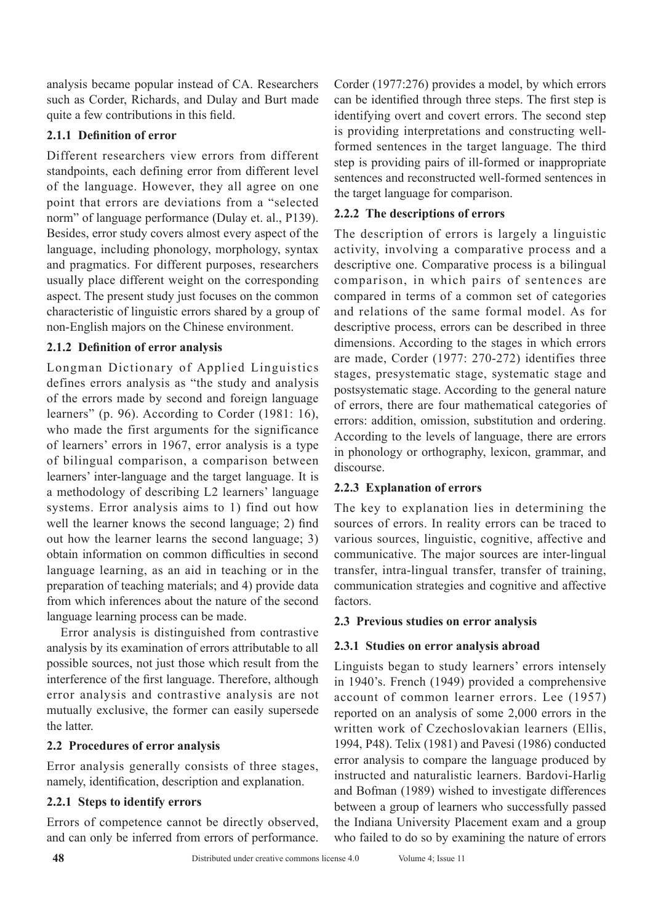analysis became popular instead of CA. Researchers such as Corder, Richards, and Dulay and Burt made quite a few contributions in this field.

## **2.1.1 Definition of error**

Different researchers view errors from different standpoints, each defining error from different level of the language. However, they all agree on one point that errors are deviations from a "selected norm" of language performance (Dulay et. al., P139). Besides, error study covers almost every aspect of the language, including phonology, morphology, syntax and pragmatics. For different purposes, researchers usually place different weight on the corresponding aspect. The present study just focuses on the common characteristic of linguistic errors shared by a group of non-English majors on the Chinese environment.

## **2.1.2 Definition of error analysis**

Longman Dictionary of Applied Linguistics defines errors analysis as "the study and analysis of the errors made by second and foreign language learners" (p. 96). According to Corder (1981: 16), who made the first arguments for the significance of learners' errors in 1967, error analysis is a type of bilingual comparison, a comparison between learners' inter-language and the target language. It is a methodology of describing L2 learners' language systems. Error analysis aims to 1) find out how well the learner knows the second language; 2) find out how the learner learns the second language; 3) obtain information on common difficulties in second language learning, as an aid in teaching or in the preparation of teaching materials; and 4) provide data from which inferences about the nature of the second language learning process can be made.

Error analysis is distinguished from contrastive analysis by its examination of errors attributable to all possible sources, not just those which result from the interference of the first language. Therefore, although error analysis and contrastive analysis are not mutually exclusive, the former can easily supersede the latter.

## **2.2 Procedures of error analysis**

Error analysis generally consists of three stages, namely, identification, description and explanation.

## **2.2.1 Steps to identify errors**

Errors of competence cannot be directly observed, and can only be inferred from errors of performance.

Corder (1977:276) provides a model, by which errors can be identified through three steps. The first step is identifying overt and covert errors. The second step is providing interpretations and constructing wellformed sentences in the target language. The third step is providing pairs of ill-formed or inappropriate sentences and reconstructed well-formed sentences in the target language for comparison.

## **2.2.2 The descriptions of errors**

The description of errors is largely a linguistic activity, involving a comparative process and a descriptive one. Comparative process is a bilingual comparison, in which pairs of sentences are compared in terms of a common set of categories and relations of the same formal model. As for descriptive process, errors can be described in three dimensions. According to the stages in which errors are made, Corder (1977: 270-272) identifies three stages, presystematic stage, systematic stage and postsystematic stage. According to the general nature of errors, there are four mathematical categories of errors: addition, omission, substitution and ordering. According to the levels of language, there are errors in phonology or orthography, lexicon, grammar, and discourse.

## **2.2.3 Explanation of errors**

The key to explanation lies in determining the sources of errors. In reality errors can be traced to various sources, linguistic, cognitive, affective and communicative. The major sources are inter-lingual transfer, intra-lingual transfer, transfer of training, communication strategies and cognitive and affective factors.

## **2.3 Previous studies on error analysis**

## **2.3.1 Studies on error analysis abroad**

Linguists began to study learners' errors intensely in 1940's. French (1949) provided a comprehensive account of common learner errors. Lee (1957) reported on an analysis of some 2,000 errors in the written work of Czechoslovakian learners (Ellis, 1994, P48). Telix (1981) and Pavesi (1986) conducted error analysis to compare the language produced by instructed and naturalistic learners. Bardovi-Harlig and Bofman (1989) wished to investigate differences between a group of learners who successfully passed the Indiana University Placement exam and a group who failed to do so by examining the nature of errors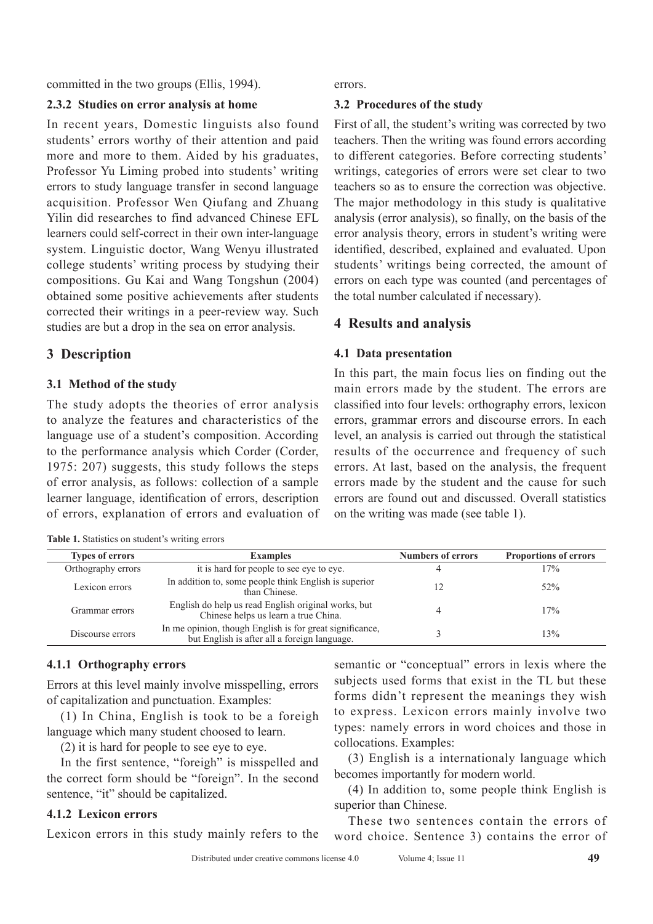committed in the two groups (Ellis, 1994).

#### **2.3.2 Studies on error analysis at home**

In recent years, Domestic linguists also found students' errors worthy of their attention and paid more and more to them. Aided by his graduates, Professor Yu Liming probed into students' writing errors to study language transfer in second language acquisition. Professor Wen Qiufang and Zhuang Yilin did researches to find advanced Chinese EFL learners could self-correct in their own inter-language system. Linguistic doctor, Wang Wenyu illustrated college students' writing process by studying their compositions. Gu Kai and Wang Tongshun (2004) obtained some positive achievements after students corrected their writings in a peer-review way. Such studies are but a drop in the sea on error analysis.

## **3 Description**

#### **3.1 Method of the study**

The study adopts the theories of error analysis to analyze the features and characteristics of the language use of a student's composition. According to the performance analysis which Corder (Corder, 1975: 207) suggests, this study follows the steps of error analysis, as follows: collection of a sample learner language, identification of errors, description of errors, explanation of errors and evaluation of

**Table 1.** Statistics on student's writing errors

errors.

#### **3.2 Procedures of the study**

First of all, the student's writing was corrected by two teachers. Then the writing was found errors according to different categories. Before correcting students' writings, categories of errors were set clear to two teachers so as to ensure the correction was objective. The major methodology in this study is qualitative analysis (error analysis), so finally, on the basis of the error analysis theory, errors in student's writing were identified, described, explained and evaluated. Upon students' writings being corrected, the amount of errors on each type was counted (and percentages of the total number calculated if necessary).

## **4 Results and analysis**

#### **4.1 Data presentation**

In this part, the main focus lies on finding out the main errors made by the student. The errors are classified into four levels: orthography errors, lexicon errors, grammar errors and discourse errors. In each level, an analysis is carried out through the statistical results of the occurrence and frequency of such errors. At last, based on the analysis, the frequent errors made by the student and the cause for such errors are found out and discussed. Overall statistics on the writing was made (see table 1).

| <b>Types of errors</b> | <b>Examples</b>                                                                                          | <b>Numbers of errors</b> | <b>Proportions of errors</b> |
|------------------------|----------------------------------------------------------------------------------------------------------|--------------------------|------------------------------|
| Orthography errors     | it is hard for people to see eye to eye.                                                                 | 4                        | 17%                          |
| Lexicon errors         | In addition to, some people think English is superior<br>than Chinese.                                   |                          | 52%                          |
| Grammar errors         | English do help us read English original works, but<br>Chinese helps us learn a true China.              |                          | 17%                          |
| Discourse errors       | In me opinion, though English is for great significance,<br>but English is after all a foreign language. |                          | 13%                          |

## **4.1.1 Orthography errors**

Errors at this level mainly involve misspelling, errors of capitalization and punctuation. Examples:

(1) In China, English is took to be a foreigh language which many student choosed to learn.

(2) it is hard for people to see eye to eye.

In the first sentence, "foreigh" is misspelled and the correct form should be "foreign". In the second sentence, "it" should be capitalized.

## **4.1.2 Lexicon errors**

Lexicon errors in this study mainly refers to the

semantic or "conceptual" errors in lexis where the subjects used forms that exist in the TL but these forms didn't represent the meanings they wish to express. Lexicon errors mainly involve two types: namely errors in word choices and those in collocations. Examples:

(3) English is a internationaly language which becomes importantly for modern world.

(4) In addition to, some people think English is superior than Chinese.

These two sentences contain the errors of word choice. Sentence 3) contains the error of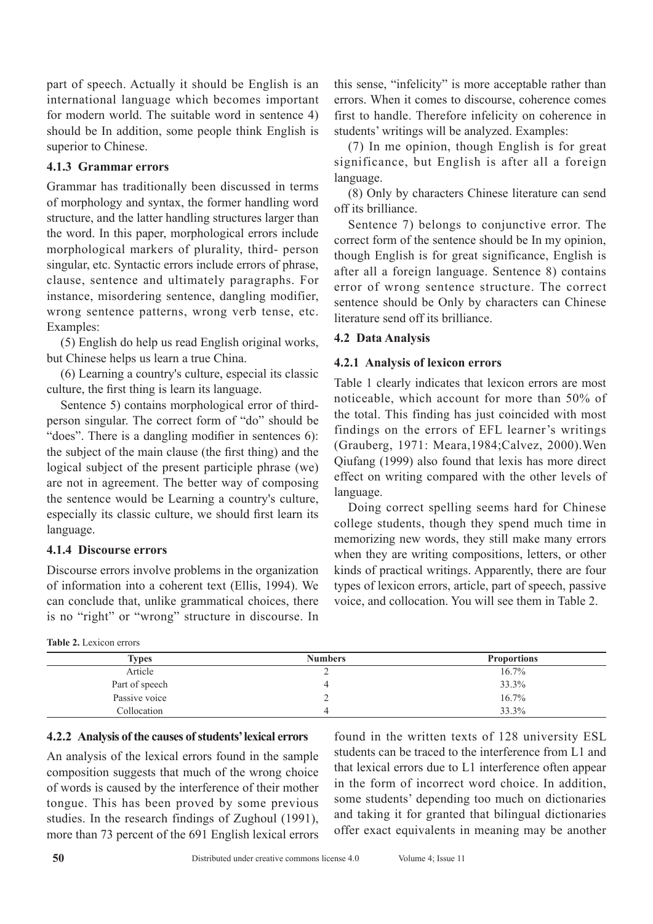part of speech. Actually it should be English is an international language which becomes important for modern world. The suitable word in sentence 4) should be In addition, some people think English is superior to Chinese.

#### **4.1.3 Grammar errors**

Grammar has traditionally been discussed in terms of morphology and syntax, the former handling word structure, and the latter handling structures larger than the word. In this paper, morphological errors include morphological markers of plurality, third- person singular, etc. Syntactic errors include errors of phrase, clause, sentence and ultimately paragraphs. For instance, misordering sentence, dangling modifier, wrong sentence patterns, wrong verb tense, etc. Examples:

(5) English do help us read English original works, but Chinese helps us learn a true China.

(6) Learning a country's culture, especial its classic culture, the first thing is learn its language.

Sentence 5) contains morphological error of thirdperson singular. The correct form of "do" should be "does". There is a dangling modifier in sentences 6): the subject of the main clause (the first thing) and the logical subject of the present participle phrase (we) are not in agreement. The better way of composing the sentence would be Learning a country's culture, especially its classic culture, we should first learn its language.

#### **4.1.4 Discourse errors**

Discourse errors involve problems in the organization of information into a coherent text (Ellis, 1994). We can conclude that, unlike grammatical choices, there is no "right" or "wrong" structure in discourse. In

|  | <b>Table 2.</b> Lexicon errors |  |
|--|--------------------------------|--|
|  |                                |  |

this sense, "infelicity" is more acceptable rather than errors. When it comes to discourse, coherence comes first to handle. Therefore infelicity on coherence in students' writings will be analyzed. Examples:

(7) In me opinion, though English is for great significance, but English is after all a foreign language.

(8) Only by characters Chinese literature can send off its brilliance.

Sentence 7) belongs to conjunctive error. The correct form of the sentence should be In my opinion, though English is for great significance, English is after all a foreign language. Sentence 8) contains error of wrong sentence structure. The correct sentence should be Only by characters can Chinese literature send off its brilliance.

#### **4.2 Data Analysis**

#### **4.2.1 Analysis of lexicon errors**

Table 1 clearly indicates that lexicon errors are most noticeable, which account for more than 50% of the total. This finding has just coincided with most findings on the errors of EFL learner's writings (Grauberg, 1971: Meara,1984;Calvez, 2000).Wen Qiufang (1999) also found that lexis has more direct effect on writing compared with the other levels of language.

Doing correct spelling seems hard for Chinese college students, though they spend much time in memorizing new words, they still make many errors when they are writing compositions, letters, or other kinds of practical writings. Apparently, there are four types of lexicon errors, article, part of speech, passive voice, and collocation. You will see them in Table 2.

| <b>Types</b>   | <b>Numbers</b> | <b>Proportions</b> |
|----------------|----------------|--------------------|
| Article        |                | 16.7%              |
| Part of speech |                | 33.3%              |
| Passive voice  |                | 16.7%              |
| Collocation    |                | 33.3%              |

#### **4.2.2 Analysis of the causes of students' lexical errors**

An analysis of the lexical errors found in the sample composition suggests that much of the wrong choice of words is caused by the interference of their mother tongue. This has been proved by some previous studies. In the research findings of Zughoul (1991), more than 73 percent of the 691 English lexical errors

found in the written texts of 128 university ESL students can be traced to the interference from L1 and that lexical errors due to L1 interference often appear in the form of incorrect word choice. In addition, some students' depending too much on dictionaries and taking it for granted that bilingual dictionaries offer exact equivalents in meaning may be another